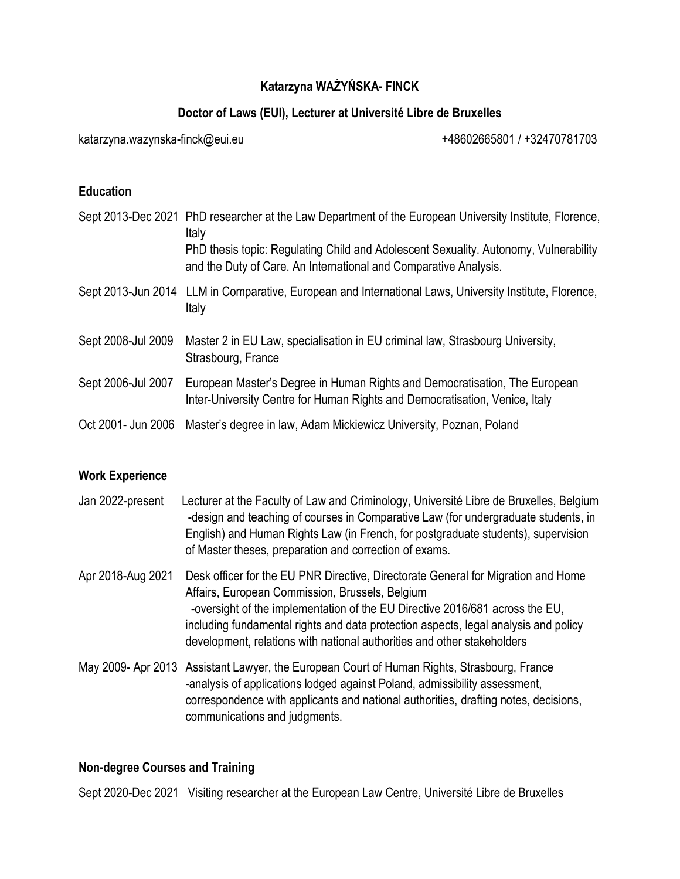# **Katarzyna WAŻYŃSKA- FINCK**

# **Doctor of Laws (EUI), Lecturer at Université Libre de Bruxelles**

[katarzyna.wazynska-finck@eui.eu](mailto:katarzyna.wazynska-finck@eui.eu) +48602665801 / +32470781703

# **Education**

|                    | Sept 2013-Dec 2021 PhD researcher at the Law Department of the European University Institute, Florence,<br>Italy<br>PhD thesis topic: Regulating Child and Adolescent Sexuality. Autonomy, Vulnerability<br>and the Duty of Care. An International and Comparative Analysis. |
|--------------------|------------------------------------------------------------------------------------------------------------------------------------------------------------------------------------------------------------------------------------------------------------------------------|
|                    | Sept 2013-Jun 2014 LLM in Comparative, European and International Laws, University Institute, Florence,<br>Italy                                                                                                                                                             |
| Sept 2008-Jul 2009 | Master 2 in EU Law, specialisation in EU criminal law, Strasbourg University,<br>Strasbourg, France                                                                                                                                                                          |
| Sept 2006-Jul 2007 | European Master's Degree in Human Rights and Democratisation, The European<br>Inter-University Centre for Human Rights and Democratisation, Venice, Italy                                                                                                                    |
| Oct 2001- Jun 2006 | Master's degree in law, Adam Mickiewicz University, Poznan, Poland                                                                                                                                                                                                           |

# **Work Experience**

- Jan 2022-present Lecturer at the Faculty of Law and Criminology, Université Libre de Bruxelles, Belgium -design and teaching of courses in Comparative Law (for undergraduate students, in English) and Human Rights Law (in French, for postgraduate students), supervision of Master theses, preparation and correction of exams.
- Apr 2018-Aug 2021 Desk officer for the EU PNR Directive, Directorate General for Migration and Home Affairs, European Commission, Brussels, Belgium -oversight of the implementation of the EU Directive 2016/681 across the EU, including fundamental rights and data protection aspects, legal analysis and policy development, relations with national authorities and other stakeholders
- May 2009- Apr 2013 Assistant Lawyer, the European Court of Human Rights, Strasbourg, France -analysis of applications lodged against Poland, admissibility assessment, correspondence with applicants and national authorities, drafting notes, decisions, communications and judgments.

# **Non-degree Courses and Training**

Sept 2020-Dec 2021 Visiting researcher at the European Law Centre, Université Libre de Bruxelles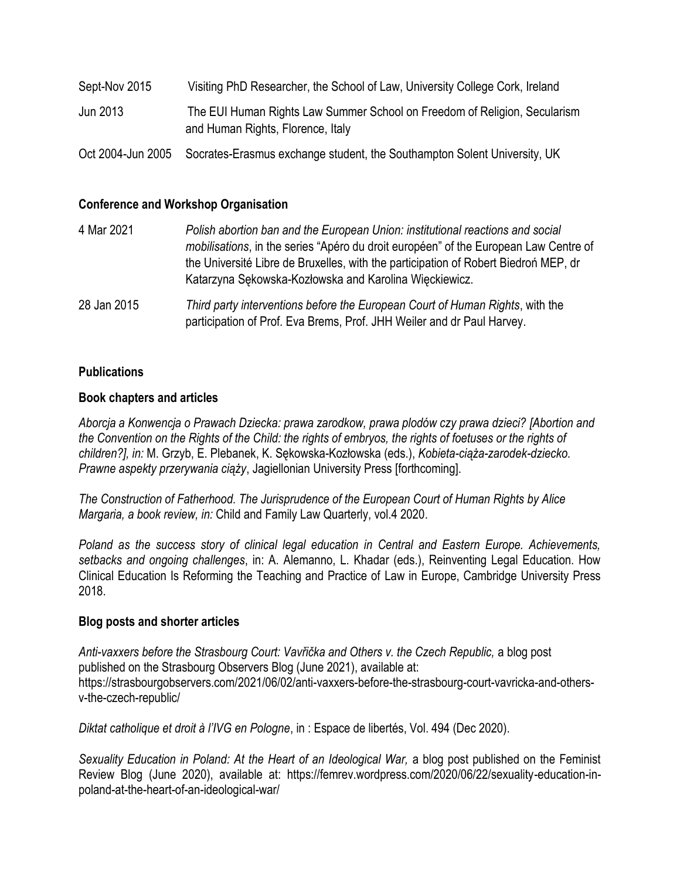| Sept-Nov 2015     | Visiting PhD Researcher, the School of Law, University College Cork, Ireland<br>The EUI Human Rights Law Summer School on Freedom of Religion, Secularism<br>and Human Rights, Florence, Italy |  |  |  |
|-------------------|------------------------------------------------------------------------------------------------------------------------------------------------------------------------------------------------|--|--|--|
| Jun 2013          |                                                                                                                                                                                                |  |  |  |
| Oct 2004-Jun 2005 | Socrates-Erasmus exchange student, the Southampton Solent University, UK                                                                                                                       |  |  |  |

## **Conference and Workshop Organisation**

| 4 Mar 2021  | Polish abortion ban and the European Union: institutional reactions and social<br>mobilisations, in the series "Apéro du droit européen" of the European Law Centre of<br>the Université Libre de Bruxelles, with the participation of Robert Biedron MEP, dr<br>Katarzyna Sękowska-Kozłowska and Karolina Więckiewicz. |
|-------------|-------------------------------------------------------------------------------------------------------------------------------------------------------------------------------------------------------------------------------------------------------------------------------------------------------------------------|
| 28 Jan 2015 | Third party interventions before the European Court of Human Rights, with the                                                                                                                                                                                                                                           |

participation of Prof. Eva Brems, Prof. JHH Weiler and dr Paul Harvey.

### **Publications**

#### **Book chapters and articles**

*Aborcja a Konwencja o Prawach Dziecka: prawa zarodkow, prawa plodów czy prawa dzieci? [Abortion and the Convention on the Rights of the Child: the rights of embryos, the rights of foetuses or the rights of children?], in:* M. Grzyb, E. Plebanek, K. Sękowska-Kozłowska (eds.), *Kobieta-ciąża-zarodek-dziecko. Prawne aspekty przerywania ciąży*, Jagiellonian University Press [forthcoming].

*The Construction of Fatherhood. The Jurisprudence of the European Court of Human Rights by Alice Margaria, a book review, in:* Child and Family Law Quarterly, vol.4 2020.

*Poland as the success story of clinical legal education in Central and Eastern Europe. Achievements, setbacks and ongoing challenges*, in: A. Alemanno, L. Khadar (eds.), Reinventing Legal Education. How Clinical Education Is Reforming the Teaching and Practice of Law in Europe, Cambridge University Press 2018.

#### **Blog posts and shorter articles**

*Anti-vaxxers before the Strasbourg Court: Vavřička and Others v. the Czech Republic,* a blog post published on the Strasbourg Observers Blog (June 2021), available at: [https://strasbourgobservers.com/2021/06/02/anti-vaxxers-before-the-strasbourg-court-vavricka-and-others](https://strasbourgobservers.com/2021/06/02/anti-vaxxers-before-the-strasbourg-court-vavricka-and-others-v-the-czech-republic/)[v-the-czech-republic/](https://strasbourgobservers.com/2021/06/02/anti-vaxxers-before-the-strasbourg-court-vavricka-and-others-v-the-czech-republic/)

*Diktat catholique et droit à l'IVG en Pologne*, in : Espace de libertés, Vol. 494 (Dec 2020).

*Sexuality Education in Poland: At the Heart of an Ideological War,* a blog post published on the Feminist Review Blog (June 2020), available at: https://femrev.wordpress.com/2020/06/22/sexuality-education-inpoland-at-the-heart-of-an-ideological-war/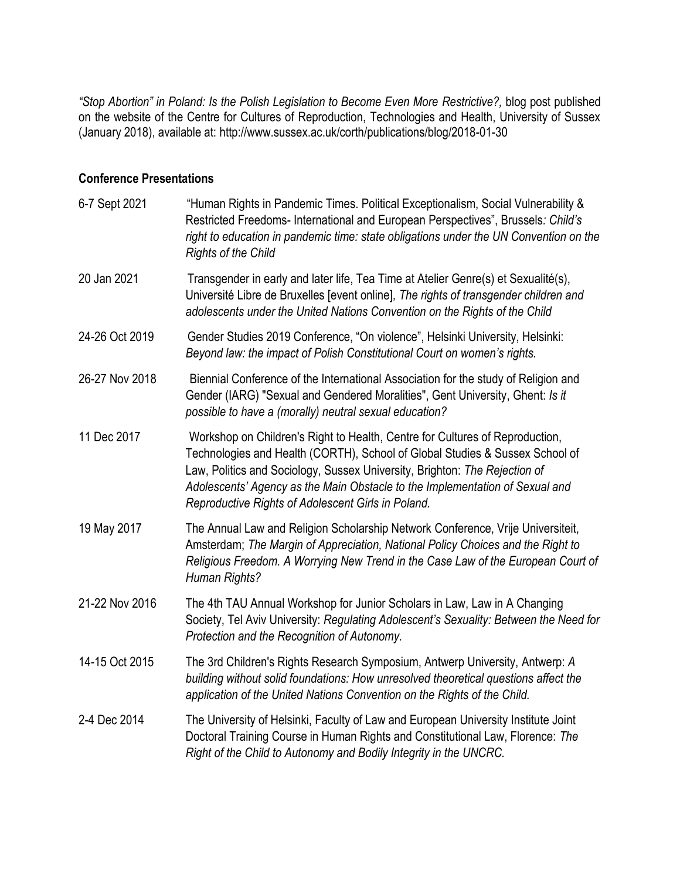*"Stop Abortion" in Poland: Is the Polish Legislation to Become Even More Restrictive?,* blog post published on the website of the Centre for Cultures of Reproduction, Technologies and Health, University of Sussex (January 2018), available at:<http://www.sussex.ac.uk/corth/publications/blog/2018-01-30>

## **Conference Presentations**

| 6-7 Sept 2021  | "Human Rights in Pandemic Times. Political Exceptionalism, Social Vulnerability &<br>Restricted Freedoms- International and European Perspectives", Brussels: Child's<br>right to education in pandemic time: state obligations under the UN Convention on the<br><b>Rights of the Child</b>                                                                                     |  |  |  |  |
|----------------|----------------------------------------------------------------------------------------------------------------------------------------------------------------------------------------------------------------------------------------------------------------------------------------------------------------------------------------------------------------------------------|--|--|--|--|
| 20 Jan 2021    | Transgender in early and later life, Tea Time at Atelier Genre(s) et Sexualité(s),<br>Université Libre de Bruxelles [event online], The rights of transgender children and<br>adolescents under the United Nations Convention on the Rights of the Child                                                                                                                         |  |  |  |  |
| 24-26 Oct 2019 | Gender Studies 2019 Conference, "On violence", Helsinki University, Helsinki:<br>Beyond law: the impact of Polish Constitutional Court on women's rights.                                                                                                                                                                                                                        |  |  |  |  |
| 26-27 Nov 2018 | Biennial Conference of the International Association for the study of Religion and<br>Gender (IARG) "Sexual and Gendered Moralities", Gent University, Ghent: Is it<br>possible to have a (morally) neutral sexual education?                                                                                                                                                    |  |  |  |  |
| 11 Dec 2017    | Workshop on Children's Right to Health, Centre for Cultures of Reproduction,<br>Technologies and Health (CORTH), School of Global Studies & Sussex School of<br>Law, Politics and Sociology, Sussex University, Brighton: The Rejection of<br>Adolescents' Agency as the Main Obstacle to the Implementation of Sexual and<br>Reproductive Rights of Adolescent Girls in Poland. |  |  |  |  |
| 19 May 2017    | The Annual Law and Religion Scholarship Network Conference, Vrije Universiteit,<br>Amsterdam; The Margin of Appreciation, National Policy Choices and the Right to<br>Religious Freedom. A Worrying New Trend in the Case Law of the European Court of<br>Human Rights?                                                                                                          |  |  |  |  |
| 21-22 Nov 2016 | The 4th TAU Annual Workshop for Junior Scholars in Law, Law in A Changing<br>Society, Tel Aviv University: Regulating Adolescent's Sexuality: Between the Need for<br>Protection and the Recognition of Autonomy.                                                                                                                                                                |  |  |  |  |
| 14-15 Oct 2015 | The 3rd Children's Rights Research Symposium, Antwerp University, Antwerp: A<br>building without solid foundations: How unresolved theoretical questions affect the<br>application of the United Nations Convention on the Rights of the Child.                                                                                                                                  |  |  |  |  |
| 2-4 Dec 2014   | The University of Helsinki, Faculty of Law and European University Institute Joint<br>Doctoral Training Course in Human Rights and Constitutional Law, Florence: The<br>Right of the Child to Autonomy and Bodily Integrity in the UNCRC.                                                                                                                                        |  |  |  |  |